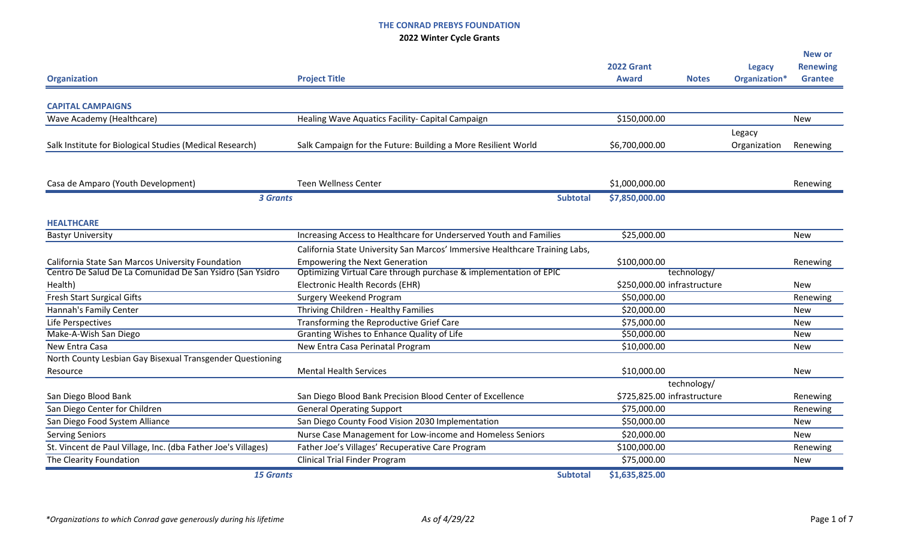|                                                               |                                                                             |                   |                             |               | <b>New or</b>   |
|---------------------------------------------------------------|-----------------------------------------------------------------------------|-------------------|-----------------------------|---------------|-----------------|
|                                                               |                                                                             | <b>2022 Grant</b> |                             | <b>Legacy</b> | <b>Renewing</b> |
| <b>Organization</b>                                           | <b>Project Title</b>                                                        | <b>Award</b>      | <b>Notes</b>                | Organization* | <b>Grantee</b>  |
|                                                               |                                                                             |                   |                             |               |                 |
| <b>CAPITAL CAMPAIGNS</b>                                      |                                                                             |                   |                             |               |                 |
| Wave Academy (Healthcare)                                     | Healing Wave Aquatics Facility- Capital Campaign                            | \$150,000.00      |                             |               | <b>New</b>      |
|                                                               |                                                                             |                   |                             | Legacy        |                 |
| Salk Institute for Biological Studies (Medical Research)      | Salk Campaign for the Future: Building a More Resilient World               | \$6,700,000.00    |                             | Organization  | Renewing        |
|                                                               |                                                                             |                   |                             |               |                 |
| Casa de Amparo (Youth Development)                            | <b>Teen Wellness Center</b>                                                 | \$1,000,000.00    |                             |               | Renewing        |
| <b>3 Grants</b>                                               | <b>Subtotal</b>                                                             | \$7,850,000.00    |                             |               |                 |
|                                                               |                                                                             |                   |                             |               |                 |
| <b>HEALTHCARE</b>                                             |                                                                             |                   |                             |               |                 |
| <b>Bastyr University</b>                                      | Increasing Access to Healthcare for Underserved Youth and Families          | \$25,000.00       |                             |               | <b>New</b>      |
|                                                               | California State University San Marcos' Immersive Healthcare Training Labs, |                   |                             |               |                 |
| California State San Marcos University Foundation             | <b>Empowering the Next Generation</b>                                       | \$100,000.00      |                             |               | Renewing        |
| Centro De Salud De La Comunidad De San Ysidro (San Ysidro     | Optimizing Virtual Care through purchase & implementation of EPIC           |                   | technology/                 |               |                 |
| Health)                                                       | Electronic Health Records (EHR)                                             |                   | \$250,000.00 infrastructure |               | <b>New</b>      |
| <b>Fresh Start Surgical Gifts</b>                             | <b>Surgery Weekend Program</b>                                              | \$50,000.00       |                             |               | Renewing        |
| Hannah's Family Center                                        | Thriving Children - Healthy Families                                        | \$20,000.00       |                             |               | <b>New</b>      |
| Life Perspectives                                             | Transforming the Reproductive Grief Care                                    | \$75,000.00       |                             |               | <b>New</b>      |
| Make-A-Wish San Diego                                         | Granting Wishes to Enhance Quality of Life                                  | \$50,000.00       |                             |               | <b>New</b>      |
| New Entra Casa                                                | New Entra Casa Perinatal Program                                            | \$10,000.00       |                             |               | <b>New</b>      |
| North County Lesbian Gay Bisexual Transgender Questioning     |                                                                             |                   |                             |               |                 |
| Resource                                                      | <b>Mental Health Services</b>                                               | \$10,000.00       |                             |               | <b>New</b>      |
|                                                               |                                                                             |                   | technology/                 |               |                 |
| San Diego Blood Bank                                          | San Diego Blood Bank Precision Blood Center of Excellence                   |                   | \$725,825.00 infrastructure |               | Renewing        |
| San Diego Center for Children                                 | <b>General Operating Support</b>                                            | \$75,000.00       |                             |               | Renewing        |
| San Diego Food System Alliance                                | San Diego County Food Vision 2030 Implementation                            | \$50,000.00       |                             |               | New             |
| <b>Serving Seniors</b>                                        | Nurse Case Management for Low-income and Homeless Seniors                   | \$20,000.00       |                             |               | <b>New</b>      |
| St. Vincent de Paul Village, Inc. (dba Father Joe's Villages) | Father Joe's Villages' Recuperative Care Program                            | \$100,000.00      |                             |               | Renewing        |
| The Clearity Foundation                                       | <b>Clinical Trial Finder Program</b>                                        | \$75,000.00       |                             |               | New             |
| <b>15 Grants</b>                                              | <b>Subtotal</b>                                                             | \$1,635,825.00    |                             |               |                 |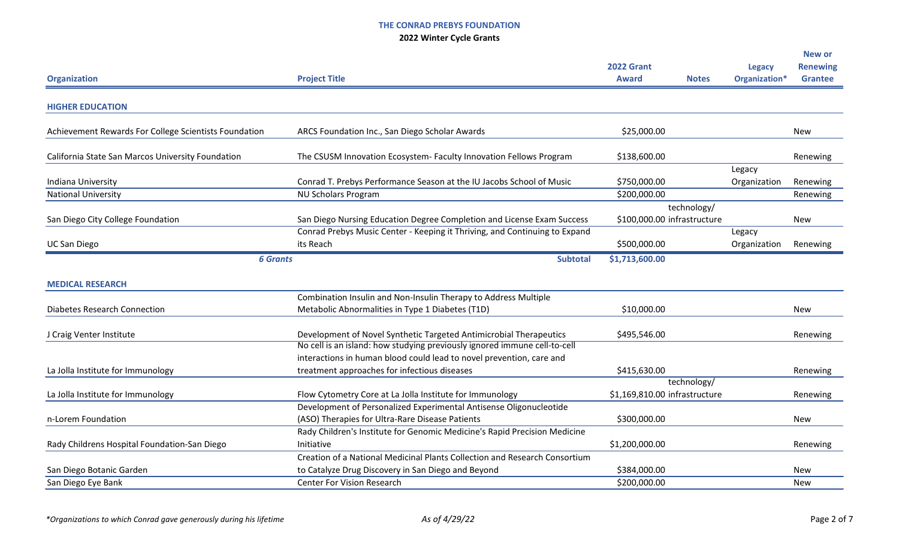|                                                       |                                                                            |                               |                        | <b>New or</b>   |
|-------------------------------------------------------|----------------------------------------------------------------------------|-------------------------------|------------------------|-----------------|
|                                                       |                                                                            | <b>2022 Grant</b>             | <b>Legacy</b>          | <b>Renewing</b> |
| <b>Organization</b>                                   | <b>Project Title</b>                                                       | <b>Award</b><br><b>Notes</b>  | Organization*          | <b>Grantee</b>  |
| <b>HIGHER EDUCATION</b>                               |                                                                            |                               |                        |                 |
| Achievement Rewards For College Scientists Foundation | ARCS Foundation Inc., San Diego Scholar Awards                             | \$25,000.00                   |                        | <b>New</b>      |
| California State San Marcos University Foundation     | The CSUSM Innovation Ecosystem- Faculty Innovation Fellows Program         | \$138,600.00                  |                        | Renewing        |
| Indiana University                                    | Conrad T. Prebys Performance Season at the IU Jacobs School of Music       | \$750,000.00                  | Legacy<br>Organization | Renewing        |
| <b>National University</b>                            | <b>NU Scholars Program</b>                                                 | \$200,000.00                  |                        | Renewing        |
|                                                       |                                                                            | technology/                   |                        |                 |
| San Diego City College Foundation                     | San Diego Nursing Education Degree Completion and License Exam Success     | \$100,000.00 infrastructure   |                        | <b>New</b>      |
|                                                       | Conrad Prebys Music Center - Keeping it Thriving, and Continuing to Expand |                               | Legacy                 |                 |
| <b>UC San Diego</b>                                   | its Reach                                                                  | \$500,000.00                  | Organization           | Renewing        |
| <b>6 Grants</b>                                       | <b>Subtotal</b>                                                            | \$1,713,600.00                |                        |                 |
|                                                       |                                                                            |                               |                        |                 |
| <b>MEDICAL RESEARCH</b>                               |                                                                            |                               |                        |                 |
|                                                       | Combination Insulin and Non-Insulin Therapy to Address Multiple            |                               |                        |                 |
| <b>Diabetes Research Connection</b>                   | Metabolic Abnormalities in Type 1 Diabetes (T1D)                           | \$10,000.00                   |                        | <b>New</b>      |
| J Craig Venter Institute                              | Development of Novel Synthetic Targeted Antimicrobial Therapeutics         | \$495,546.00                  |                        | Renewing        |
|                                                       | No cell is an island: how studying previously ignored immune cell-to-cell  |                               |                        |                 |
|                                                       | interactions in human blood could lead to novel prevention, care and       |                               |                        |                 |
| La Jolla Institute for Immunology                     | treatment approaches for infectious diseases                               | \$415,630.00                  |                        | Renewing        |
|                                                       |                                                                            | technology/                   |                        |                 |
| La Jolla Institute for Immunology                     | Flow Cytometry Core at La Jolla Institute for Immunology                   | \$1,169,810.00 infrastructure |                        | Renewing        |
|                                                       | Development of Personalized Experimental Antisense Oligonucleotide         |                               |                        |                 |
| n-Lorem Foundation                                    | (ASO) Therapies for Ultra-Rare Disease Patients                            | \$300,000.00                  |                        | New             |
|                                                       | Rady Children's Institute for Genomic Medicine's Rapid Precision Medicine  |                               |                        |                 |
| Rady Childrens Hospital Foundation-San Diego          | Initiative                                                                 | \$1,200,000.00                |                        | Renewing        |
|                                                       | Creation of a National Medicinal Plants Collection and Research Consortium |                               |                        |                 |
| San Diego Botanic Garden                              | to Catalyze Drug Discovery in San Diego and Beyond                         | \$384,000.00                  |                        | New             |
| San Diego Eye Bank                                    | <b>Center For Vision Research</b>                                          | \$200,000.00                  |                        | <b>New</b>      |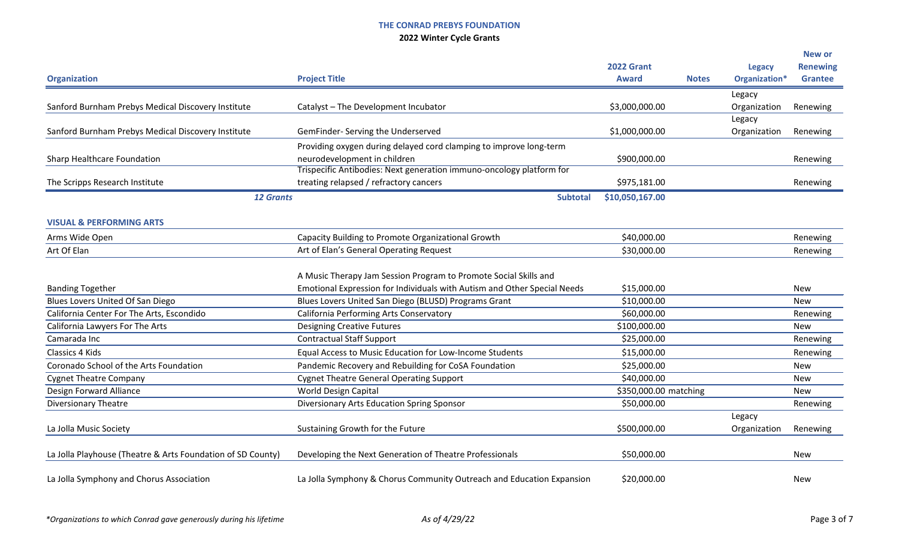|                                                             |                                                                          |                       |              |               | <b>New or</b>   |
|-------------------------------------------------------------|--------------------------------------------------------------------------|-----------------------|--------------|---------------|-----------------|
|                                                             |                                                                          | <b>2022 Grant</b>     |              | <b>Legacy</b> | <b>Renewing</b> |
| <b>Organization</b>                                         | <b>Project Title</b>                                                     | <b>Award</b>          | <b>Notes</b> | Organization* | <b>Grantee</b>  |
|                                                             |                                                                          |                       |              | Legacy        |                 |
| Sanford Burnham Prebys Medical Discovery Institute          | Catalyst - The Development Incubator                                     | \$3,000,000.00        |              | Organization  | Renewing        |
|                                                             |                                                                          |                       |              | Legacy        |                 |
| Sanford Burnham Prebys Medical Discovery Institute          | GemFinder- Serving the Underserved                                       | \$1,000,000.00        |              | Organization  | Renewing        |
|                                                             | Providing oxygen during delayed cord clamping to improve long-term       |                       |              |               |                 |
| Sharp Healthcare Foundation                                 | neurodevelopment in children                                             | \$900,000.00          |              |               | Renewing        |
|                                                             | Trispecific Antibodies: Next generation immuno-oncology platform for     |                       |              |               |                 |
| The Scripps Research Institute                              | treating relapsed / refractory cancers                                   | \$975,181.00          |              |               | Renewing        |
| <b>12 Grants</b>                                            | <b>Subtotal</b>                                                          | \$10,050,167.00       |              |               |                 |
| <b>VISUAL &amp; PERFORMING ARTS</b>                         |                                                                          |                       |              |               |                 |
| Arms Wide Open                                              | Capacity Building to Promote Organizational Growth                       | \$40,000.00           |              |               | Renewing        |
| Art Of Elan                                                 | Art of Elan's General Operating Request                                  | \$30,000.00           |              |               | Renewing        |
|                                                             |                                                                          |                       |              |               |                 |
|                                                             | A Music Therapy Jam Session Program to Promote Social Skills and         |                       |              |               |                 |
| <b>Banding Together</b>                                     | Emotional Expression for Individuals with Autism and Other Special Needs | \$15,000.00           |              |               | <b>New</b>      |
| Blues Lovers United Of San Diego                            | Blues Lovers United San Diego (BLUSD) Programs Grant                     | \$10,000.00           |              |               | <b>New</b>      |
| California Center For The Arts, Escondido                   | California Performing Arts Conservatory                                  | \$60,000.00           |              |               | Renewing        |
| California Lawyers For The Arts                             | <b>Designing Creative Futures</b>                                        | \$100,000.00          |              |               | <b>New</b>      |
| Camarada Inc                                                | <b>Contractual Staff Support</b>                                         | \$25,000.00           |              |               | Renewing        |
| Classics 4 Kids                                             | Equal Access to Music Education for Low-Income Students                  | \$15,000.00           |              |               | Renewing        |
| Coronado School of the Arts Foundation                      | Pandemic Recovery and Rebuilding for CoSA Foundation                     | \$25,000.00           |              |               | <b>New</b>      |
| <b>Cygnet Theatre Company</b>                               | <b>Cygnet Theatre General Operating Support</b>                          | \$40,000.00           |              |               | <b>New</b>      |
| Design Forward Alliance                                     | World Design Capital                                                     | \$350,000.00 matching |              |               | <b>New</b>      |
| <b>Diversionary Theatre</b>                                 | Diversionary Arts Education Spring Sponsor                               | \$50,000.00           |              |               | Renewing        |
|                                                             |                                                                          |                       |              | Legacy        |                 |
| La Jolla Music Society                                      | Sustaining Growth for the Future                                         | \$500,000.00          |              | Organization  | Renewing        |
| La Jolla Playhouse (Theatre & Arts Foundation of SD County) | Developing the Next Generation of Theatre Professionals                  | \$50,000.00           |              |               | <b>New</b>      |
|                                                             |                                                                          |                       |              |               |                 |
| La Jolla Symphony and Chorus Association                    | La Jolla Symphony & Chorus Community Outreach and Education Expansion    | \$20,000.00           |              |               | <b>New</b>      |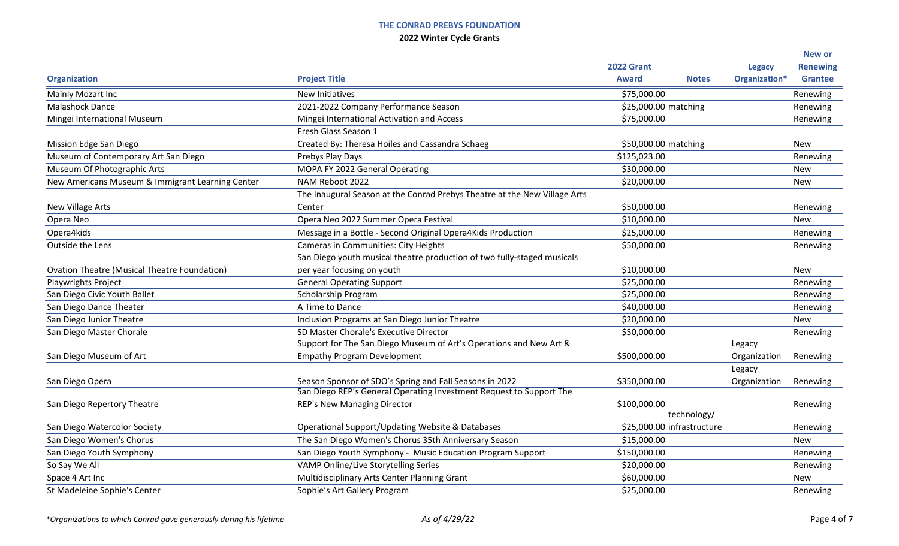|                                                     |                                                                           |                                           |              |               | <b>New or</b>   |
|-----------------------------------------------------|---------------------------------------------------------------------------|-------------------------------------------|--------------|---------------|-----------------|
|                                                     |                                                                           | <b>2022 Grant</b>                         |              | <b>Legacy</b> | <b>Renewing</b> |
| <b>Organization</b>                                 | <b>Project Title</b>                                                      | <b>Award</b>                              | <b>Notes</b> | Organization* | <b>Grantee</b>  |
| Mainly Mozart Inc                                   | <b>New Initiatives</b>                                                    | \$75,000.00                               |              |               | Renewing        |
| <b>Malashock Dance</b>                              | 2021-2022 Company Performance Season                                      | \$25,000.00 matching                      |              |               | Renewing        |
| Mingei International Museum                         | Mingei International Activation and Access                                | \$75,000.00                               |              |               | Renewing        |
|                                                     | Fresh Glass Season 1                                                      |                                           |              |               |                 |
| Mission Edge San Diego                              | Created By: Theresa Hoiles and Cassandra Schaeg                           | \$50,000.00 matching                      |              |               | <b>New</b>      |
| Museum of Contemporary Art San Diego                | Prebys Play Days                                                          | \$125,023.00                              |              |               | Renewing        |
| Museum Of Photographic Arts                         | MOPA FY 2022 General Operating                                            | \$30,000.00                               |              |               | <b>New</b>      |
| New Americans Museum & Immigrant Learning Center    | NAM Reboot 2022                                                           | \$20,000.00                               |              |               | <b>New</b>      |
|                                                     | The Inaugural Season at the Conrad Prebys Theatre at the New Village Arts |                                           |              |               |                 |
| New Village Arts                                    | Center                                                                    | \$50,000.00                               |              |               | Renewing        |
| Opera Neo                                           | Opera Neo 2022 Summer Opera Festival                                      | \$10,000.00                               |              |               | <b>New</b>      |
| Opera4kids                                          | Message in a Bottle - Second Original Opera4Kids Production               | \$25,000.00                               |              |               | Renewing        |
| Outside the Lens                                    | <b>Cameras in Communities: City Heights</b>                               | \$50,000.00                               |              |               | Renewing        |
|                                                     | San Diego youth musical theatre production of two fully-staged musicals   |                                           |              |               |                 |
| <b>Ovation Theatre (Musical Theatre Foundation)</b> | per year focusing on youth                                                | \$10,000.00                               |              |               | <b>New</b>      |
| Playwrights Project                                 | <b>General Operating Support</b>                                          | \$25,000.00                               |              |               | Renewing        |
| San Diego Civic Youth Ballet                        | Scholarship Program                                                       | \$25,000.00                               |              |               | Renewing        |
| San Diego Dance Theater                             | A Time to Dance                                                           | \$40,000.00                               |              |               | Renewing        |
| San Diego Junior Theatre                            | Inclusion Programs at San Diego Junior Theatre                            | \$20,000.00                               |              |               | <b>New</b>      |
| San Diego Master Chorale                            | SD Master Chorale's Executive Director                                    | \$50,000.00                               |              |               | Renewing        |
|                                                     | Support for The San Diego Museum of Art's Operations and New Art &        |                                           |              | Legacy        |                 |
| San Diego Museum of Art                             | <b>Empathy Program Development</b>                                        | \$500,000.00                              |              | Organization  | Renewing        |
|                                                     |                                                                           |                                           |              | Legacy        |                 |
| San Diego Opera                                     | Season Sponsor of SDO's Spring and Fall Seasons in 2022                   | \$350,000.00                              |              | Organization  | Renewing        |
|                                                     | San Diego REP's General Operating Investment Request to Support The       |                                           |              |               |                 |
| San Diego Repertory Theatre                         | <b>REP's New Managing Director</b>                                        | \$100,000.00                              |              |               | Renewing        |
|                                                     |                                                                           | technology/<br>\$25,000.00 infrastructure |              |               |                 |
| San Diego Watercolor Society                        | Operational Support/Updating Website & Databases                          |                                           |              |               | Renewing        |
| San Diego Women's Chorus                            | The San Diego Women's Chorus 35th Anniversary Season                      | \$15,000.00                               |              |               | <b>New</b>      |
| San Diego Youth Symphony                            | San Diego Youth Symphony - Music Education Program Support                | \$150,000.00                              |              |               | Renewing        |
| So Say We All                                       | VAMP Online/Live Storytelling Series                                      | \$20,000.00                               |              |               | Renewing        |
| Space 4 Art Inc                                     | Multidisciplinary Arts Center Planning Grant                              | \$60,000.00                               |              |               | <b>New</b>      |
| St Madeleine Sophie's Center                        | Sophie's Art Gallery Program                                              | \$25,000.00                               |              |               | Renewing        |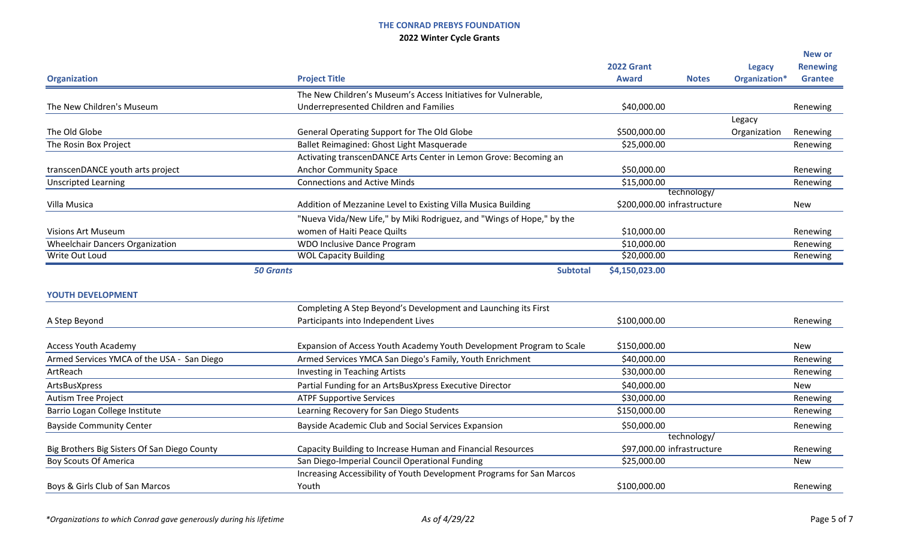|                                              |                                                                       |                             |                            |               | <b>New or</b>   |
|----------------------------------------------|-----------------------------------------------------------------------|-----------------------------|----------------------------|---------------|-----------------|
|                                              |                                                                       | <b>2022 Grant</b>           |                            | <b>Legacy</b> | <b>Renewing</b> |
| <b>Organization</b>                          | <b>Project Title</b>                                                  | <b>Award</b>                | <b>Notes</b>               | Organization* | <b>Grantee</b>  |
|                                              | The New Children's Museum's Access Initiatives for Vulnerable,        |                             |                            |               |                 |
| The New Children's Museum                    | Underrepresented Children and Families                                | \$40,000.00                 |                            |               | Renewing        |
|                                              |                                                                       |                             |                            | Legacy        |                 |
| The Old Globe                                | General Operating Support for The Old Globe                           | \$500,000.00                |                            | Organization  | Renewing        |
| The Rosin Box Project                        | Ballet Reimagined: Ghost Light Masquerade                             | \$25,000.00                 |                            |               | Renewing        |
|                                              | Activating transcenDANCE Arts Center in Lemon Grove: Becoming an      |                             |                            |               |                 |
| transcenDANCE youth arts project             | <b>Anchor Community Space</b>                                         | \$50,000.00                 |                            |               | Renewing        |
| <b>Unscripted Learning</b>                   | <b>Connections and Active Minds</b>                                   | \$15,000.00                 |                            |               | Renewing        |
|                                              |                                                                       |                             | technology/                |               |                 |
| Villa Musica                                 | Addition of Mezzanine Level to Existing Villa Musica Building         | \$200,000.00 infrastructure |                            |               | <b>New</b>      |
|                                              | "Nueva Vida/New Life," by Miki Rodriguez, and "Wings of Hope," by the |                             |                            |               |                 |
| <b>Visions Art Museum</b>                    | women of Haiti Peace Quilts                                           | \$10,000.00                 |                            |               | Renewing        |
| <b>Wheelchair Dancers Organization</b>       | WDO Inclusive Dance Program                                           | \$10,000.00                 |                            |               | Renewing        |
| <b>Write Out Loud</b>                        | <b>WOL Capacity Building</b>                                          | \$20,000.00                 |                            |               | Renewing        |
|                                              | <b>50 Grants</b><br><b>Subtotal</b>                                   | \$4,150,023.00              |                            |               |                 |
|                                              |                                                                       |                             |                            |               |                 |
| <b>YOUTH DEVELOPMENT</b>                     |                                                                       |                             |                            |               |                 |
|                                              | Completing A Step Beyond's Development and Launching its First        |                             |                            |               |                 |
| A Step Beyond                                | Participants into Independent Lives                                   | \$100,000.00                |                            |               | Renewing        |
| <b>Access Youth Academy</b>                  | Expansion of Access Youth Academy Youth Development Program to Scale  | \$150,000.00                |                            |               | <b>New</b>      |
| Armed Services YMCA of the USA - San Diego   | Armed Services YMCA San Diego's Family, Youth Enrichment              | \$40,000.00                 |                            |               | Renewing        |
| ArtReach                                     | <b>Investing in Teaching Artists</b>                                  | \$30,000.00                 |                            |               | Renewing        |
| ArtsBusXpress                                | Partial Funding for an ArtsBusXpress Executive Director               | \$40,000.00                 |                            |               | New             |
| <b>Autism Tree Project</b>                   | <b>ATPF Supportive Services</b>                                       | \$30,000.00                 |                            |               | Renewing        |
| Barrio Logan College Institute               | Learning Recovery for San Diego Students                              | \$150,000.00                |                            |               | Renewing        |
| <b>Bayside Community Center</b>              | Bayside Academic Club and Social Services Expansion                   | \$50,000.00                 |                            |               | Renewing        |
|                                              |                                                                       |                             | technology/                |               |                 |
| Big Brothers Big Sisters Of San Diego County | Capacity Building to Increase Human and Financial Resources           |                             | \$97,000.00 infrastructure |               | Renewing        |
| <b>Boy Scouts Of America</b>                 | San Diego-Imperial Council Operational Funding                        | \$25,000.00                 |                            |               | New             |
|                                              | Increasing Accessibility of Youth Development Programs for San Marcos |                             |                            |               |                 |
| Boys & Girls Club of San Marcos              | Youth                                                                 | \$100,000.00                |                            |               | Renewing        |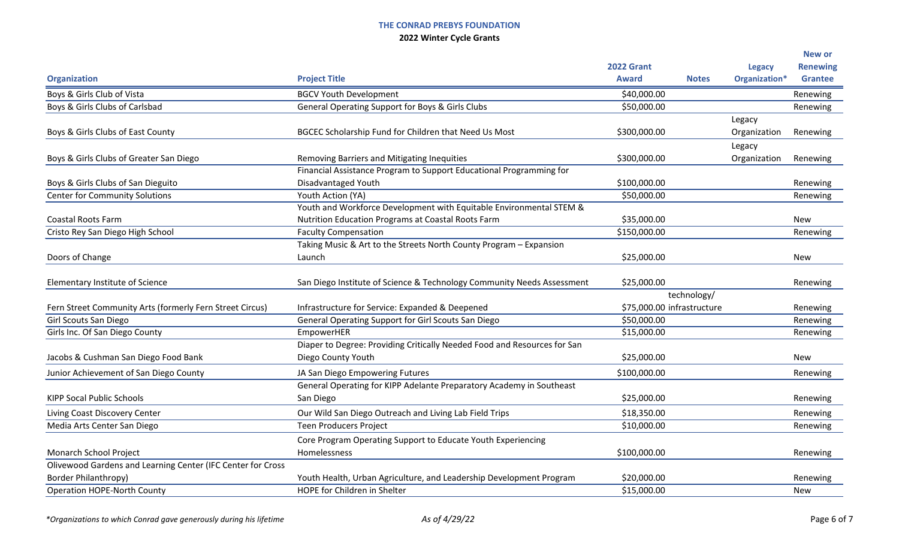|                                                             |                                                                          |                              |               | <b>New or</b>   |
|-------------------------------------------------------------|--------------------------------------------------------------------------|------------------------------|---------------|-----------------|
|                                                             |                                                                          | <b>2022 Grant</b>            | <b>Legacy</b> | <b>Renewing</b> |
| <b>Organization</b>                                         | <b>Project Title</b>                                                     | <b>Award</b><br><b>Notes</b> | Organization* | <b>Grantee</b>  |
| Boys & Girls Club of Vista                                  | <b>BGCV Youth Development</b>                                            | \$40,000.00                  |               | Renewing        |
| Boys & Girls Clubs of Carlsbad                              | General Operating Support for Boys & Girls Clubs                         | \$50,000.00                  |               | Renewing        |
|                                                             |                                                                          |                              | Legacy        |                 |
| Boys & Girls Clubs of East County                           | BGCEC Scholarship Fund for Children that Need Us Most                    | \$300,000.00                 | Organization  | Renewing        |
|                                                             |                                                                          |                              | Legacy        |                 |
| Boys & Girls Clubs of Greater San Diego                     | Removing Barriers and Mitigating Inequities                              | \$300,000.00                 | Organization  | Renewing        |
|                                                             | Financial Assistance Program to Support Educational Programming for      |                              |               |                 |
| Boys & Girls Clubs of San Dieguito                          | Disadvantaged Youth                                                      | \$100,000.00                 |               | Renewing        |
| <b>Center for Community Solutions</b>                       | Youth Action (YA)                                                        | \$50,000.00                  |               | Renewing        |
|                                                             | Youth and Workforce Development with Equitable Environmental STEM &      |                              |               |                 |
| <b>Coastal Roots Farm</b>                                   | Nutrition Education Programs at Coastal Roots Farm                       | \$35,000.00                  |               | New             |
| Cristo Rey San Diego High School                            | <b>Faculty Compensation</b>                                              | \$150,000.00                 |               | Renewing        |
|                                                             | Taking Music & Art to the Streets North County Program - Expansion       |                              |               |                 |
| Doors of Change                                             | Launch                                                                   | \$25,000.00                  |               | <b>New</b>      |
| Elementary Institute of Science                             | San Diego Institute of Science & Technology Community Needs Assessment   | \$25,000.00                  |               | Renewing        |
|                                                             |                                                                          | technology/                  |               |                 |
| Fern Street Community Arts (formerly Fern Street Circus)    | Infrastructure for Service: Expanded & Deepened                          | \$75,000.00 infrastructure   |               | Renewing        |
| Girl Scouts San Diego                                       | General Operating Support for Girl Scouts San Diego                      | \$50,000.00                  |               | Renewing        |
| Girls Inc. Of San Diego County                              | EmpowerHER                                                               | \$15,000.00                  |               | Renewing        |
|                                                             | Diaper to Degree: Providing Critically Needed Food and Resources for San |                              |               |                 |
| Jacobs & Cushman San Diego Food Bank                        | Diego County Youth                                                       | \$25,000.00                  |               | New             |
| Junior Achievement of San Diego County                      | JA San Diego Empowering Futures                                          | \$100,000.00                 |               | Renewing        |
|                                                             | General Operating for KIPP Adelante Preparatory Academy in Southeast     |                              |               |                 |
| <b>KIPP Socal Public Schools</b>                            | San Diego                                                                | \$25,000.00                  |               | Renewing        |
| Living Coast Discovery Center                               | Our Wild San Diego Outreach and Living Lab Field Trips                   | \$18,350.00                  |               | Renewing        |
| Media Arts Center San Diego                                 | <b>Teen Producers Project</b>                                            | \$10,000.00                  |               | Renewing        |
|                                                             | Core Program Operating Support to Educate Youth Experiencing             |                              |               |                 |
| Monarch School Project                                      | Homelessness                                                             | \$100,000.00                 |               | Renewing        |
| Olivewood Gardens and Learning Center (IFC Center for Cross |                                                                          |                              |               |                 |
| <b>Border Philanthropy)</b>                                 | Youth Health, Urban Agriculture, and Leadership Development Program      | \$20,000.00                  |               | Renewing        |
| <b>Operation HOPE-North County</b>                          | HOPE for Children in Shelter                                             | \$15,000.00                  |               | <b>New</b>      |